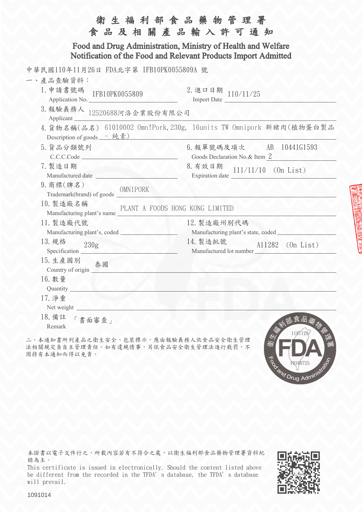| 食品及相關產品輸入許可通知                                                                                                                                                                                                                                                       | 生福利部食品藥物管理署                                                                                                      |  |  |  |
|---------------------------------------------------------------------------------------------------------------------------------------------------------------------------------------------------------------------------------------------------------------------|------------------------------------------------------------------------------------------------------------------|--|--|--|
| Food and Drug Administration, Ministry of Health and Welfare<br>Notification of the Food and Relevant Products Import Admitted                                                                                                                                      |                                                                                                                  |  |  |  |
| 中華民國110年11月26日 FDA北字第 IFB10PK0055809A 號<br>一、產品查驗資料:<br>1. 申請書號碼<br>IFB10PK0055809<br>Application No.<br>3. 報驗義務人 12520688河洛企業股份有限公司<br>Applicant                                                                                                                   | 2. 進口日期 $110/11/25$<br>Import Date                                                                               |  |  |  |
| Description of goods $-$ 純素)                                                                                                                                                                                                                                        | 4. 貨物名稱(品名) 61010002 Omn!Pork, 230g, 16units TW Omnipork 新豬肉(植物蛋白製品                                              |  |  |  |
| 5. 貨品分類號列<br>AN.<br>C.C.C.Code<br>7. 製造日期<br>Manufactured date<br>9. 商標(牌名)<br>OMNIPORK                                                                                                                                                                             | 6. 報單號碼及項次 AB 10441G1593<br>Goods Declaration No.& Item 2<br>8. 有效日期<br>$111/11/10$ (On List)<br>Expiration date |  |  |  |
| 10. 製造廠名稱<br>PLANT A FOODS HONG KONG LIMITED<br>Manufacturing plant's name                                                                                                                                                                                          |                                                                                                                  |  |  |  |
| 11. 製造廠代號<br>13. 規格<br>230g<br><u>The Annual State of the Second State of the Second State of the Second State of the Second State of the Second State of the Second State of the Second State of the Second State of the Second State of the Second State of t</u> | 12. 製造廠州別代碼<br>14. 製造批號<br>A11282 (On List)<br>Manufactured lot number                                           |  |  |  |
| 15. 生產國別<br>泰國<br>16. 數量<br>Quantity                                                                                                                                                                                                                                |                                                                                                                  |  |  |  |
| 17. 净重<br>Net weight<br>18. 備註<br>「書面審查」<br>Remark                                                                                                                                                                                                                  | 食品藥<br>1101129                                                                                                   |  |  |  |

二、本通知書所列產品之衛生安全、包裝標示,應由報驗義務人依食品安全衛生管理 法相關規定負自主管理責任。如有違規情事,另依食品安全衛生管理法進行裁罰,不 因持有本通知而得以免責。

本證書以電子文件行之,所載內容若有不符合之處,以衛生福利部食品藥物管理署資料紀 錄為主。

This certificate is issued in electronically. Should the content listed above be different from the recorded in the TFDA's database, the TFDA's database will prevail.



To and Drug Administration

1091014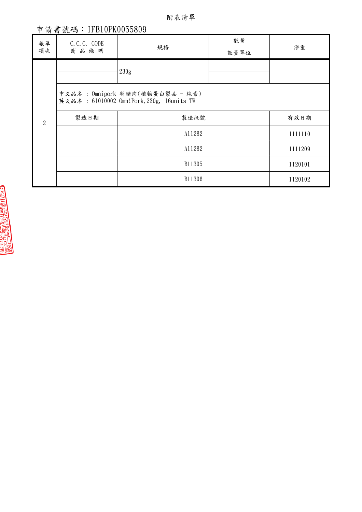附表清單

## 申請書號碼:IFB10PK0055809

| 報單<br>項次         | C.C.C. CODE<br>商品條碼                                                          | 規格     | 數量<br>數量單位 | 淨重      |
|------------------|------------------------------------------------------------------------------|--------|------------|---------|
| $\boldsymbol{2}$ |                                                                              | 230g   |            |         |
|                  | 中文品名: 0mnipork 新豬肉(植物蛋白製品 - 純素)<br>英文品名: 61010002 0mn!Pork, 230g, 16units TW |        |            |         |
|                  | 製造日期                                                                         | 製造批號   |            | 有效日期    |
|                  |                                                                              | A11282 |            | 1111110 |
|                  |                                                                              | A11282 |            | 1111209 |
|                  |                                                                              | B11305 |            | 1120101 |
|                  |                                                                              | B11306 |            | 1120102 |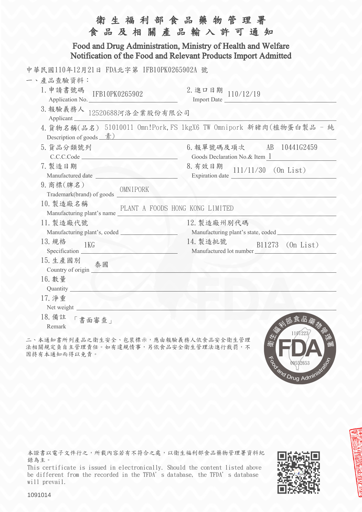| 衛生福利部食品藥物管理署<br>食品及相關產品輸入許可通知                                                                                                  |                                                                    |  |  |  |
|--------------------------------------------------------------------------------------------------------------------------------|--------------------------------------------------------------------|--|--|--|
| Food and Drug Administration, Ministry of Health and Welfare<br>Notification of the Food and Relevant Products Import Admitted |                                                                    |  |  |  |
| 中華民國110年12月21日 FDA北字第 IFB10PK0265902A 號                                                                                        |                                                                    |  |  |  |
| 一、產品查驗資料:                                                                                                                      |                                                                    |  |  |  |
| 1. 申請書號碼<br>IFB10PK0265902<br>Application No.                                                                                  | 2. 進口日期 $110/12/19$<br>Import Date                                 |  |  |  |
| 3. 報驗義務人 12520688河洛企業股份有限公司<br>Applicant                                                                                       |                                                                    |  |  |  |
| Description of goods $\frac{\frac{1}{\mathcal{R}}}{\mathcal{R}}$                                                               | 4. 貨物名稱(品名) 51010011 Omn!Pork, FS 1kgX6 TW Omnipork 新豬肉(植物蛋白製品 - 純 |  |  |  |
| 5. 貨品分類號列<br>C.C.C.Code                                                                                                        | 6. 報單號碼及項次 AB 10441G2459<br>Goods Declaration No.& Item 1          |  |  |  |
| 7. 製造日期<br>Manufactured date                                                                                                   | 8. 有效日期 111/11/30 (On List)<br>Expiration date $\frac{1}{1}$       |  |  |  |
| 9. 商標(牌名)                                                                                                                      |                                                                    |  |  |  |
| 10. 製造廠名稱<br>PLANT A FOODS HONG KONG LIMITED<br>Manufacturing plant's name                                                     |                                                                    |  |  |  |
| 11. 製造廠代號                                                                                                                      | 12. 製造廠州別代碼                                                        |  |  |  |
|                                                                                                                                |                                                                    |  |  |  |
| 13. 規格<br>1 <sub>KG</sub>                                                                                                      | 14. 製造批號<br>B11273 (On List)<br>Manufactured lot number            |  |  |  |
| 15. 生產國別<br>泰國                                                                                                                 |                                                                    |  |  |  |
| 16. 數量<br>Quantity                                                                                                             |                                                                    |  |  |  |
| 17. 净重<br>Net weight                                                                                                           |                                                                    |  |  |  |
| 18. 備註<br>「書面審查」<br>Remark                                                                                                     | 部食品羹<br>1101223                                                    |  |  |  |

二、本通知書所列產品之衛生安全、包裝標示,應由報驗義務人依食品安全衛生管理 法相關規定負自主管理責任。如有違規情事,另依食品安全衛生管理法進行裁罰,不 因持有本通知而得以免責。

本證書以電子文件行之,所載內容若有不符合之處,以衛生福利部食品藥物管理署資料紀 錄為主。

This certificate is issued in electronically. Should the content listed above be different from the recorded in the TFDA's database, the TFDA's database will prevail.



To ond Drug Administration

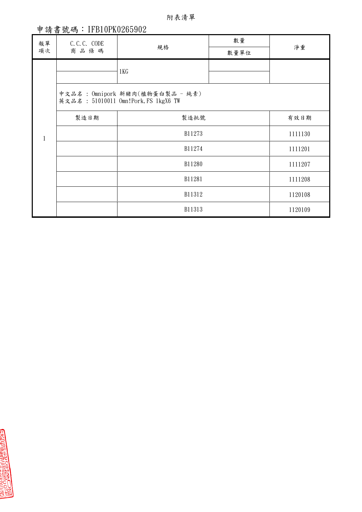附表清單

## 申請書號碼:IFB10PK0265902

| 報單<br>項次 | C.C.C. CODE<br>商品條碼                                                     | 規格     | 數量<br>數量單位 | 淨重      |
|----------|-------------------------------------------------------------------------|--------|------------|---------|
|          |                                                                         | 1KG    |            |         |
|          | 中文品名: 0mnipork 新豬肉(植物蛋白製品 - 純素)<br>英文品名: 51010011 0mn!Pork, FS 1kgX6 TW |        |            |         |
|          | 製造日期                                                                    | 製造批號   |            | 有效日期    |
|          |                                                                         | B11273 |            | 1111130 |
|          |                                                                         | B11274 |            | 1111201 |
|          |                                                                         | B11280 |            | 1111207 |
|          |                                                                         | B11281 |            | 1111208 |
|          |                                                                         | B11312 |            | 1120108 |
|          |                                                                         | B11313 |            | 1120109 |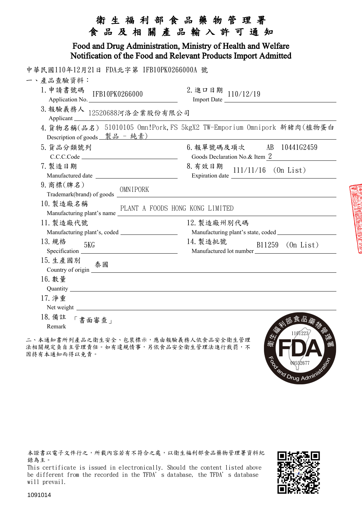|                                                                                                                                                                                                                                                        | 衛 生 福 利 部 食 品 藥 物 管 理 署<br>食品及相關產品輸入許可通知                                                                                                                                                                                                                                                                                                                                                                                                 |  |  |  |
|--------------------------------------------------------------------------------------------------------------------------------------------------------------------------------------------------------------------------------------------------------|------------------------------------------------------------------------------------------------------------------------------------------------------------------------------------------------------------------------------------------------------------------------------------------------------------------------------------------------------------------------------------------------------------------------------------------|--|--|--|
| Food and Drug Administration, Ministry of Health and Welfare<br>Notification of the Food and Relevant Products Import Admitted                                                                                                                         |                                                                                                                                                                                                                                                                                                                                                                                                                                          |  |  |  |
| 中華民國110年12月21日 FDA北字第 IFB10PK0266000A 號                                                                                                                                                                                                                |                                                                                                                                                                                                                                                                                                                                                                                                                                          |  |  |  |
| 一、產品查驗資料:<br>1. 申請書號碼 IFB10PK0266000<br>Application No.                                                                                                                                                                                                | 2. 進口日期 110/12/19<br><u> 1990 - Johann Barbara, martin d</u>                                                                                                                                                                                                                                                                                                                                                                             |  |  |  |
| 3. 報驗義務人 $12520688$ 河洛企業股份有限公司                                                                                                                                                                                                                         |                                                                                                                                                                                                                                                                                                                                                                                                                                          |  |  |  |
| Description of goods <u>製品 - 純素)</u>                                                                                                                                                                                                                   | 4. 貨物名稱(品名) 51010105 Omn!Pork, FS 5kgX2 TW-Emporium Omnipork 新豬肉(植物蛋白                                                                                                                                                                                                                                                                                                                                                                    |  |  |  |
| 5. 貨品分類號列<br>C.C.C. Code                                                                                                                                                                                                                               | 6. 報單號碼及項次 AB 10441G2459<br>Goods Declaration No.& Item 2                                                                                                                                                                                                                                                                                                                                                                                |  |  |  |
| 7. 製造日期                                                                                                                                                                                                                                                | 8. 有效日期<br>$111/11/16$ (On List)<br>Expiration date $\frac{1}{\sqrt{1-\frac{1}{2}}\sqrt{1-\frac{1}{2}}\sqrt{1-\frac{1}{2}}\sqrt{1-\frac{1}{2}}\sqrt{1-\frac{1}{2}}\sqrt{1-\frac{1}{2}}\sqrt{1-\frac{1}{2}}\sqrt{1-\frac{1}{2}}\sqrt{1-\frac{1}{2}}\sqrt{1-\frac{1}{2}}\sqrt{1-\frac{1}{2}}\sqrt{1-\frac{1}{2}}\sqrt{1-\frac{1}{2}}\sqrt{1-\frac{1}{2}}\sqrt{1-\frac{1}{2}}\sqrt{1-\frac{1}{2}}\sqrt{1-\frac{1}{2}}\sqrt{1-\frac{1}{2}}\$ |  |  |  |
| 9. 商標(牌名)                                                                                                                                                                                                                                              |                                                                                                                                                                                                                                                                                                                                                                                                                                          |  |  |  |
| 10. 製造廠名稱<br>PLANT A FOODS HONG KONG LIMITED<br>Manufacturing plant's name                                                                                                                                                                             |                                                                                                                                                                                                                                                                                                                                                                                                                                          |  |  |  |
| 11. 製造廠代號                                                                                                                                                                                                                                              | 12. 製造廠州別代碼                                                                                                                                                                                                                                                                                                                                                                                                                              |  |  |  |
| 13. 規格<br>5KG                                                                                                                                                                                                                                          | 14. 製造批號<br>B11259 (On List)<br>Manufactured lot number                                                                                                                                                                                                                                                                                                                                                                                  |  |  |  |
| 15. 生產國別<br>泰國<br>Country of origin <u>and a series of the series of the series of the series of the series of the series of the series of the series of the series of the series of the series of the series of the series of the series of the s</u> |                                                                                                                                                                                                                                                                                                                                                                                                                                          |  |  |  |
| 16. 數量<br>Quantity                                                                                                                                                                                                                                     |                                                                                                                                                                                                                                                                                                                                                                                                                                          |  |  |  |
| 17. 净重                                                                                                                                                                                                                                                 |                                                                                                                                                                                                                                                                                                                                                                                                                                          |  |  |  |
| 18. 備註<br>「書面審查」<br>Remark                                                                                                                                                                                                                             | 瓜食品<br>110122                                                                                                                                                                                                                                                                                                                                                                                                                            |  |  |  |

二、本通知書所列產品之衛生安全、包裝標示,應由報驗義務人依食品安全衛生管理 法相關規定負自主管理責任。如有違規情事,另依食品安全衛生管理法進行裁罰,不 因持有本通知而得以免責。

本證書以電子文件行之,所載內容若有不符合之處,以衛生福利部食品藥物管理署資料紀 錄為主。

This certificate is issued in electronically. Should the content listed above be different from the recorded in the TFDA's database, the TFDA's database will prevail.



09552677

and Drug Admini

1091014